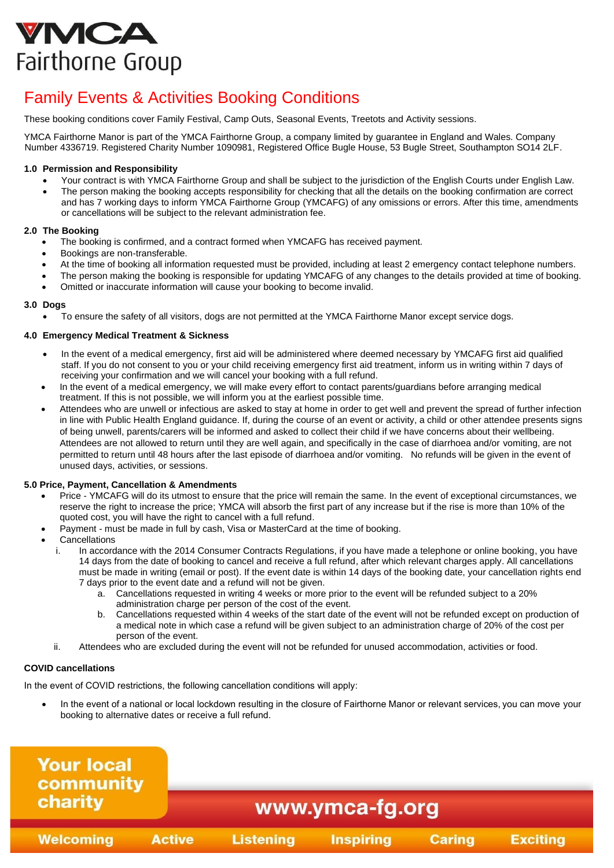# VMCA Fairthorne Group

# Family Events & Activities Booking Conditions

These booking conditions cover Family Festival, Camp Outs, Seasonal Events, Treetots and Activity sessions.

YMCA Fairthorne Manor is part of the YMCA Fairthorne Group, a company limited by guarantee in England and Wales. Company Number 4336719. Registered Charity Number 1090981, Registered Office Bugle House, 53 Bugle Street, Southampton SO14 2LF.

# **1.0 Permission and Responsibility**

- Your contract is with YMCA Fairthorne Group and shall be subject to the jurisdiction of the English Courts under English Law.
- The person making the booking accepts responsibility for checking that all the details on the booking confirmation are correct and has 7 working days to inform YMCA Fairthorne Group (YMCAFG) of any omissions or errors. After this time, amendments or cancellations will be subject to the relevant administration fee.

# **2.0 The Booking**

- The booking is confirmed, and a contract formed when YMCAFG has received payment.
- Bookings are non-transferable.
- At the time of booking all information requested must be provided, including at least 2 emergency contact telephone numbers.
- The person making the booking is responsible for updating YMCAFG of any changes to the details provided at time of booking.
- Omitted or inaccurate information will cause your booking to become invalid.

#### **3.0 Dogs**

• To ensure the safety of all visitors, dogs are not permitted at the YMCA Fairthorne Manor except service dogs.

# **4.0 Emergency Medical Treatment & Sickness**

- In the event of a medical emergency, first aid will be administered where deemed necessary by YMCAFG first aid qualified staff. If you do not consent to you or your child receiving emergency first aid treatment, inform us in writing within 7 days of receiving your confirmation and we will cancel your booking with a full refund.
- In the event of a medical emergency, we will make every effort to contact parents/guardians before arranging medical treatment. If this is not possible, we will inform you at the earliest possible time.
- Attendees who are unwell or infectious are asked to stay at home in order to get well and prevent the spread of further infection in line with Public Health England guidance. If, during the course of an event or activity, a child or other attendee presents signs of being unwell, parents/carers will be informed and asked to collect their child if we have concerns about their wellbeing. Attendees are not allowed to return until they are well again, and specifically in the case of diarrhoea and/or vomiting, are not permitted to return until 48 hours after the last episode of diarrhoea and/or vomiting. No refunds will be given in the event of unused days, activities, or sessions.

# **5.0 Price, Payment, Cancellation & Amendments**

- Price YMCAFG will do its utmost to ensure that the price will remain the same. In the event of exceptional circumstances, we reserve the right to increase the price; YMCA will absorb the first part of any increase but if the rise is more than 10% of the quoted cost, you will have the right to cancel with a full refund.
- Payment must be made in full by cash, Visa or MasterCard at the time of booking.
- **Cancellations** 
	- i. In accordance with the 2014 Consumer Contracts Regulations, if you have made a telephone or online booking, you have 14 days from the date of booking to cancel and receive a full refund, after which relevant charges apply. All cancellations must be made in writing (email or post). If the event date is within 14 days of the booking date, your cancellation rights end 7 days prior to the event date and a refund will not be given.
		- a. Cancellations requested in writing 4 weeks or more prior to the event will be refunded subject to a 20% administration charge per person of the cost of the event.
		- b. Cancellations requested within 4 weeks of the start date of the event will not be refunded except on production of a medical note in which case a refund will be given subject to an administration charge of 20% of the cost per person of the event.
	- ii. Attendees who are excluded during the event will not be refunded for unused accommodation, activities or food.

# **COVID cancellations**

In the event of COVID restrictions, the following cancellation conditions will apply: 

• In the event of a national or local lockdown resulting in the closure of Fairthorne Manor or relevant services, you can move your booking to alternative dates or receive a full refund.